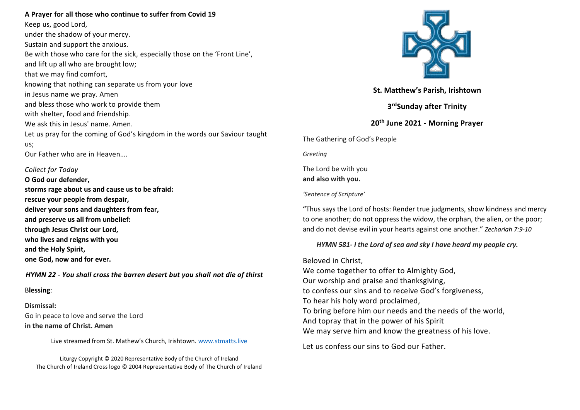## **A Prayer for all those who continue to suffer from Covid 19**

Keep us, good Lord, under the shadow of your mercy. Sustain and support the anxious. Be with those who care for the sick, especially those on the 'Front Line', and lift up all who are brought low; that we may find comfort, knowing that nothing can separate us from your love in Jesus name we pray. Amen and bless those who work to provide them with shelter, food and friendship. We ask this in Jesus' name. Amen. Let us pray for the coming of God's kingdom in the words our Saviour taught us; Our Father who are in Heaven….

### *Collect for Today*

**O God our defender, storms rage about us and cause us to be afraid: rescue your people from despair, deliver your sons and daughters from fear, and preserve us all from unbelief: through Jesus Christ our Lord, who lives and reigns with you and the Holy Spirit, one God, now and for ever.**

# *HYMN 22 - You shall cross the barren desert but you shall not die of thirst*

## B**lessing**:

**Dismissal:** Go in peace to love and serve the Lord **in the name of Christ. Amen** 

Live streamed from St. Mathew's Church, Irishtown. [www.stmatts.live](http://www.stmatts.live/)

Liturgy Copyright © 2020 Representative Body of the Church of Ireland The Church of Ireland Cross logo © 2004 Representative Body of The Church of Ireland



**St. Matthew's Parish, Irishtown**

**3 rdSunday after Trinity**

# **20th June 2021 - Morning Prayer**

The Gathering of God's People

*Greeting*

The Lord be with you **and also with you.** 

# *'Sentence of Scripture'*

**"**Thus says the Lord of hosts: Render true judgments, show kindness and mercy to one another; do not oppress the widow, the orphan, the alien, or the poor; and do not devise evil in your hearts against one another." *Zechariah 7:9-10*

# *HYMN 581- I the Lord of sea and sky I have heard my people cry.*

Beloved in Christ, We come together to offer to Almighty God, Our worship and praise and thanksgiving, to confess our sins and to receive God's forgiveness, To hear his holy word proclaimed, To bring before him our needs and the needs of the world, And topray that in the power of his Spirit We may serve him and know the greatness of his love.

Let us confess our sins to God our Father.